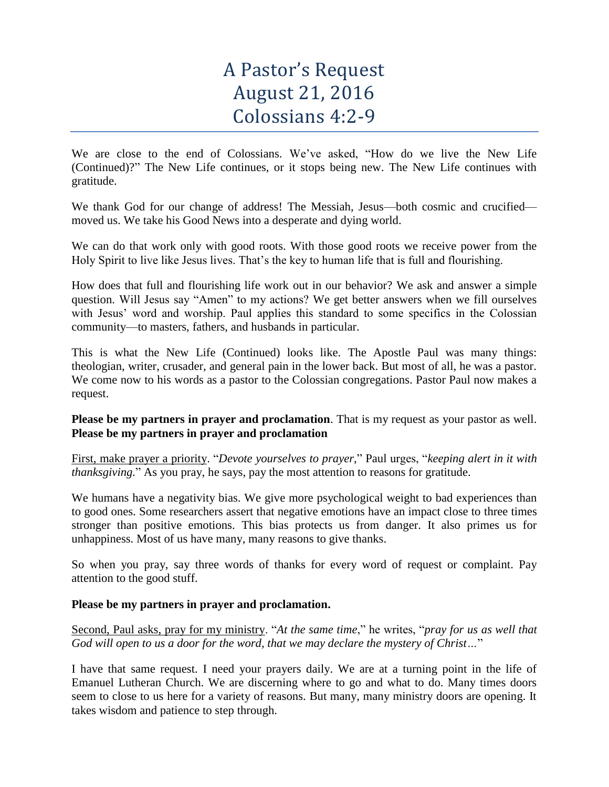# A Pastor's Request August 21, 2016 Colossians 4:2-9

We are close to the end of Colossians. We've asked, "How do we live the New Life (Continued)?" The New Life continues, or it stops being new. The New Life continues with gratitude.

We thank God for our change of address! The Messiah, Jesus—both cosmic and crucified moved us. We take his Good News into a desperate and dying world.

We can do that work only with good roots. With those good roots we receive power from the Holy Spirit to live like Jesus lives. That's the key to human life that is full and flourishing.

How does that full and flourishing life work out in our behavior? We ask and answer a simple question. Will Jesus say "Amen" to my actions? We get better answers when we fill ourselves with Jesus' word and worship. Paul applies this standard to some specifics in the Colossian community—to masters, fathers, and husbands in particular.

This is what the New Life (Continued) looks like. The Apostle Paul was many things: theologian, writer, crusader, and general pain in the lower back. But most of all, he was a pastor. We come now to his words as a pastor to the Colossian congregations. Pastor Paul now makes a request.

# **Please be my partners in prayer and proclamation**. That is my request as your pastor as well. **Please be my partners in prayer and proclamation**

First, make prayer a priority. "*Devote yourselves to prayer*," Paul urges, "*keeping alert in it with thanksgiving.*" As you pray, he says, pay the most attention to reasons for gratitude.

We humans have a negativity bias. We give more psychological weight to bad experiences than to good ones. Some researchers assert that negative emotions have an impact close to three times stronger than positive emotions. This bias protects us from danger. It also primes us for unhappiness. Most of us have many, many reasons to give thanks.

So when you pray, say three words of thanks for every word of request or complaint. Pay attention to the good stuff.

# **Please be my partners in prayer and proclamation.**

Second, Paul asks, pray for my ministry. "*At the same time*," he writes, "*pray for us as well that God will open to us a door for the word, that we may declare the mystery of Christ…*"

I have that same request. I need your prayers daily. We are at a turning point in the life of Emanuel Lutheran Church. We are discerning where to go and what to do. Many times doors seem to close to us here for a variety of reasons. But many, many ministry doors are opening. It takes wisdom and patience to step through.